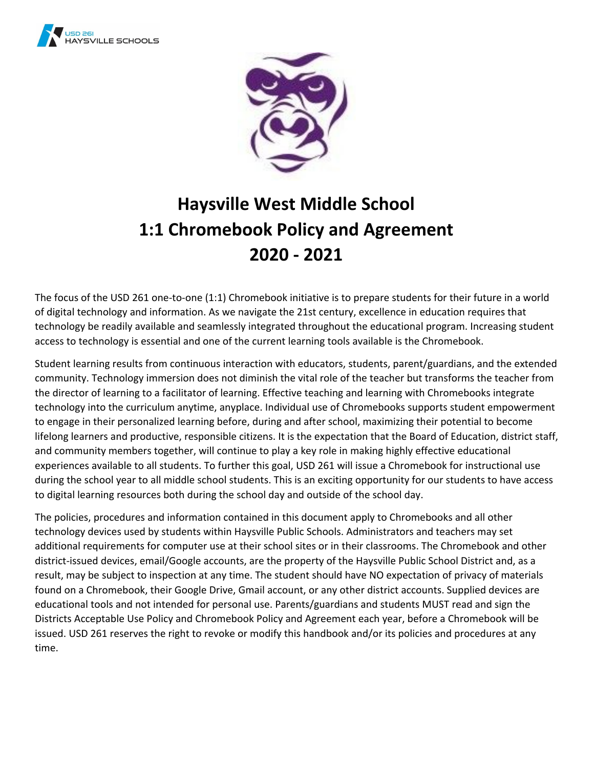



# **Haysville West Middle School 1:1 Chromebook Policy and Agreement 2020 - 2021**

The focus of the USD 261 one-to-one (1:1) Chromebook initiative is to prepare students for their future in a world of digital technology and information. As we navigate the 21st century, excellence in education requires that technology be readily available and seamlessly integrated throughout the educational program. Increasing student access to technology is essential and one of the current learning tools available is the Chromebook.

Student learning results from continuous interaction with educators, students, parent/guardians, and the extended community. Technology immersion does not diminish the vital role of the teacher but transforms the teacher from the director of learning to a facilitator of learning. Effective teaching and learning with Chromebooks integrate technology into the curriculum anytime, anyplace. Individual use of Chromebooks supports student empowerment to engage in their personalized learning before, during and after school, maximizing their potential to become lifelong learners and productive, responsible citizens. It is the expectation that the Board of Education, district staff, and community members together, will continue to play a key role in making highly effective educational experiences available to all students. To further this goal, USD 261 will issue a Chromebook for instructional use during the school year to all middle school students. This is an exciting opportunity for our students to have access to digital learning resources both during the school day and outside of the school day.

The policies, procedures and information contained in this document apply to Chromebooks and all other technology devices used by students within Haysville Public Schools. Administrators and teachers may set additional requirements for computer use at their school sites or in their classrooms. The Chromebook and other district-issued devices, email/Google accounts, are the property of the Haysville Public School District and, as a result, may be subject to inspection at any time. The student should have NO expectation of privacy of materials found on a Chromebook, their Google Drive, Gmail account, or any other district accounts. Supplied devices are educational tools and not intended for personal use. Parents/guardians and students MUST read and sign the Districts Acceptable Use Policy and Chromebook Policy and Agreement each year, before a Chromebook will be issued. USD 261 reserves the right to revoke or modify this handbook and/or its policies and procedures at any time.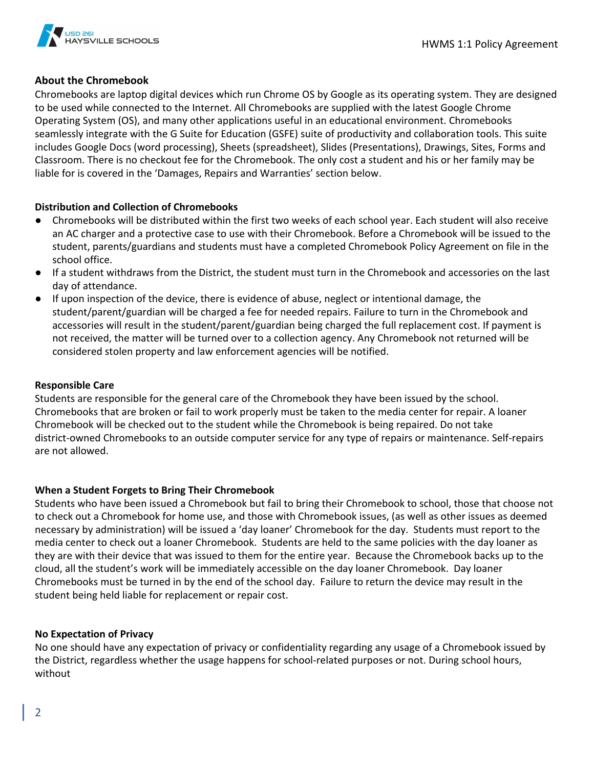

## **About the Chromebook**

Chromebooks are laptop digital devices which run Chrome OS by Google as its operating system. They are designed to be used while connected to the Internet. All Chromebooks are supplied with the latest Google Chrome Operating System (OS), and many other applications useful in an educational environment. Chromebooks seamlessly integrate with the G Suite for Education (GSFE) suite of productivity and collaboration tools. This suite includes Google Docs (word processing), Sheets (spreadsheet), Slides (Presentations), Drawings, Sites, Forms and Classroom. There is no checkout fee for the Chromebook. The only cost a student and his or her family may be liable for is covered in the 'Damages, Repairs and Warranties' section below.

#### **Distribution and Collection of Chromebooks**

- Chromebooks will be distributed within the first two weeks of each school year. Each student will also receive an AC charger and a protective case to use with their Chromebook. Before a Chromebook will be issued to the student, parents/guardians and students must have a completed Chromebook Policy Agreement on file in the school office.
- If a student withdraws from the District, the student must turn in the Chromebook and accessories on the last day of attendance.
- If upon inspection of the device, there is evidence of abuse, neglect or intentional damage, the student/parent/guardian will be charged a fee for needed repairs. Failure to turn in the Chromebook and accessories will result in the student/parent/guardian being charged the full replacement cost. If payment is not received, the matter will be turned over to a collection agency. Any Chromebook not returned will be considered stolen property and law enforcement agencies will be notified.

#### **Responsible Care**

Students are responsible for the general care of the Chromebook they have been issued by the school. Chromebooks that are broken or fail to work properly must be taken to the media center for repair. A loaner Chromebook will be checked out to the student while the Chromebook is being repaired. Do not take district-owned Chromebooks to an outside computer service for any type of repairs or maintenance. Self-repairs are not allowed.

#### **When a Student Forgets to Bring Their Chromebook**

Students who have been issued a Chromebook but fail to bring their Chromebook to school, those that choose not to check out a Chromebook for home use, and those with Chromebook issues, (as well as other issues as deemed necessary by administration) will be issued a 'day loaner' Chromebook for the day. Students must report to the media center to check out a loaner Chromebook. Students are held to the same policies with the day loaner as they are with their device that was issued to them for the entire year. Because the Chromebook backs up to the cloud, all the student's work will be immediately accessible on the day loaner Chromebook. Day loaner Chromebooks must be turned in by the end of the school day. Failure to return the device may result in the student being held liable for replacement or repair cost.

#### **No Expectation of Privacy**

No one should have any expectation of privacy or confidentiality regarding any usage of a Chromebook issued by the District, regardless whether the usage happens for school-related purposes or not. During school hours, without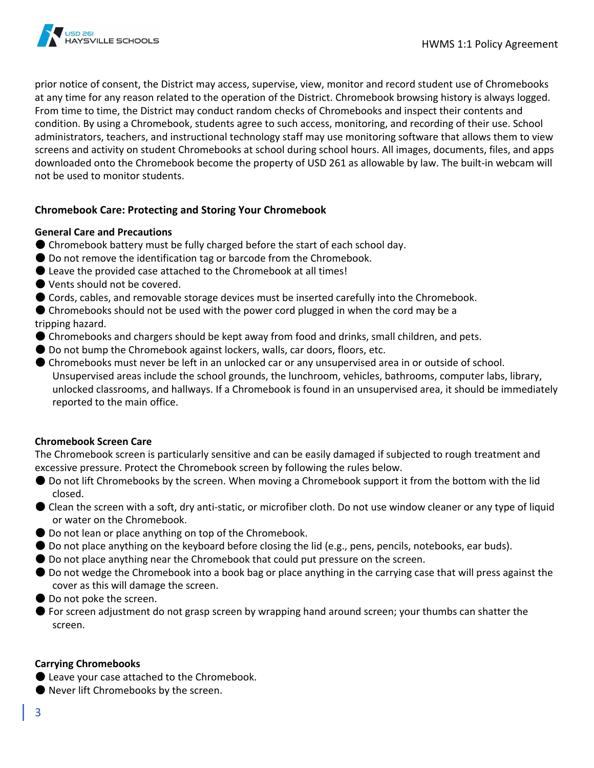

prior notice of consent, the District may access, supervise, view, monitor and record student use of Chromebooks at any time for any reason related to the operation of the District. Chromebook browsing history is always logged. From time to time, the District may conduct random checks of Chromebooks and inspect their contents and condition. By using a Chromebook, students agree to such access, monitoring, and recording of their use. School administrators, teachers, and instructional technology staff may use monitoring software that allows them to view screens and activity on student Chromebooks at school during school hours. All images, documents, files, and apps downloaded onto the Chromebook become the property of USD 261 as allowable by law. The built-in webcam will not be used to monitor students.

# **Chromebook Care: Protecting and Storing Your Chromebook**

#### **General Care and Precautions**

- Chromebook battery must be fully charged before the start of each school day.
- Do not remove the identification tag or barcode from the Chromebook.
- $\bullet$  Leave the provided case attached to the Chromebook at all times!
- Vents should not be covered.
- Cords, cables, and removable storage devices must be inserted carefully into the Chromebook.
- Chromebooks should not be used with the power cord plugged in when the cord may be a tripping hazard.
- Chromebooks and chargers should be kept away from food and drinks, small children, and pets.
- Do not bump the Chromebook against lockers, walls, car doors, floors, etc.
- Chromebooks must never be left in an unlocked car or any unsupervised area in or outside of school. Unsupervised areas include the school grounds, the lunchroom, vehicles, bathrooms, computer labs, library, unlocked classrooms, and hallways. If a Chromebook is found in an unsupervised area, it should be immediately reported to the main office.

#### **Chromebook Screen Care**

The Chromebook screen is particularly sensitive and can be easily damaged if subjected to rough treatment and excessive pressure. Protect the Chromebook screen by following the rules below.

- Do not lift Chromebooks by the screen. When moving a Chromebook support it from the bottom with the lid closed.
- Clean the screen with a soft, dry anti-static, or microfiber cloth. Do not use window cleaner or any type of liquid or water on the Chromebook.
- Do not lean or place anything on top of the Chromebook.
- Do not place anything on the keyboard before closing the lid (e.g., pens, pencils, notebooks, ear buds).
- Do not place anything near the Chromebook that could put pressure on the screen.
- Do not wedge the Chromebook into a book bag or place anything in the carrying case that will press against the cover as this will damage the screen.
- Do not poke the screen.
- For screen adjustment do not grasp screen by wrapping hand around screen; your thumbs can shatter the screen.

#### **Carrying Chromebooks**

- Leave your case attached to the Chromebook.
- Never lift Chromebooks by the screen.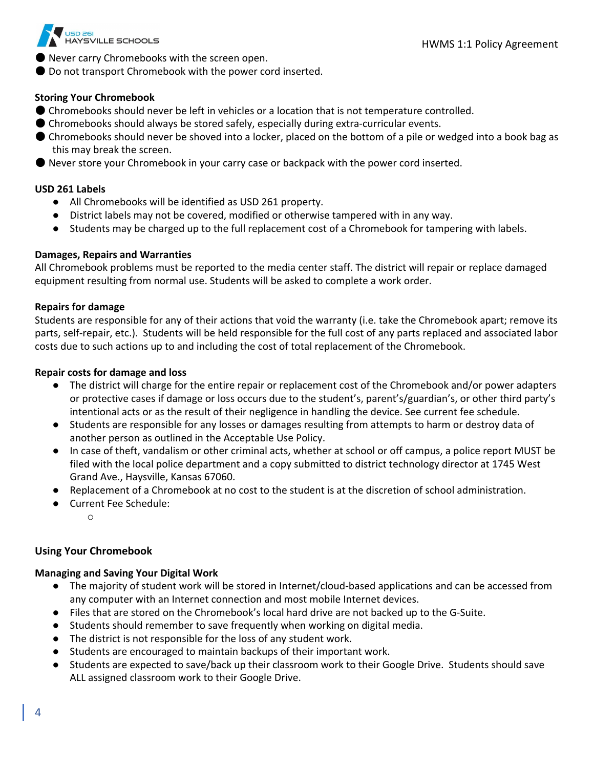

- Never carry Chromebooks with the screen open.
- Do not transport Chromebook with the power cord inserted.

#### **Storing Your Chromebook**

- Chromebooks should never be left in vehicles or a location that is not temperature controlled.
- Chromebooks should always be stored safely, especially during extra-curricular events.
- Chromebooks should never be shoved into a locker, placed on the bottom of a pile or wedged into a book bag as this may break the screen.
- Never store your Chromebook in your carry case or backpack with the power cord inserted.

#### **USD 261 Labels**

- All Chromebooks will be identified as USD 261 property.
- District labels may not be covered, modified or otherwise tampered with in any way.
- Students may be charged up to the full replacement cost of a Chromebook for tampering with labels.

#### **Damages, Repairs and Warranties**

All Chromebook problems must be reported to the media center staff. The district will repair or replace damaged equipment resulting from normal use. Students will be asked to complete a work order.

#### **Repairs for damage**

Students are responsible for any of their actions that void the warranty (i.e. take the Chromebook apart; remove its parts, self-repair, etc.). Students will be held responsible for the full cost of any parts replaced and associated labor costs due to such actions up to and including the cost of total replacement of the Chromebook.

#### **Repair costs for damage and loss**

- The district will charge for the entire repair or replacement cost of the Chromebook and/or power adapters or protective cases if damage or loss occurs due to the student's, parent's/guardian's, or other third party's intentional acts or as the result of their negligence in handling the device. See current fee schedule.
- Students are responsible for any losses or damages resulting from attempts to harm or destroy data of another person as outlined in the Acceptable Use Policy.
- In case of theft, vandalism or other criminal acts, whether at school or off campus, a police report MUST be filed with the local police department and a copy submitted to district technology director at 1745 West Grand Ave., Haysville, Kansas 67060.
- Replacement of a Chromebook at no cost to the student is at the discretion of school administration.
- Current Fee Schedule:
	- o

## **Using Your Chromebook**

#### **Managing and Saving Your Digital Work**

- The majority of student work will be stored in Internet/cloud-based applications and can be accessed from any computer with an Internet connection and most mobile Internet devices.
- Files that are stored on the Chromebook's local hard drive are not backed up to the G-Suite.
- Students should remember to save frequently when working on digital media.
- The district is not responsible for the loss of any student work.
- Students are encouraged to maintain backups of their important work.
- Students are expected to save/back up their classroom work to their Google Drive. Students should save ALL assigned classroom work to their Google Drive.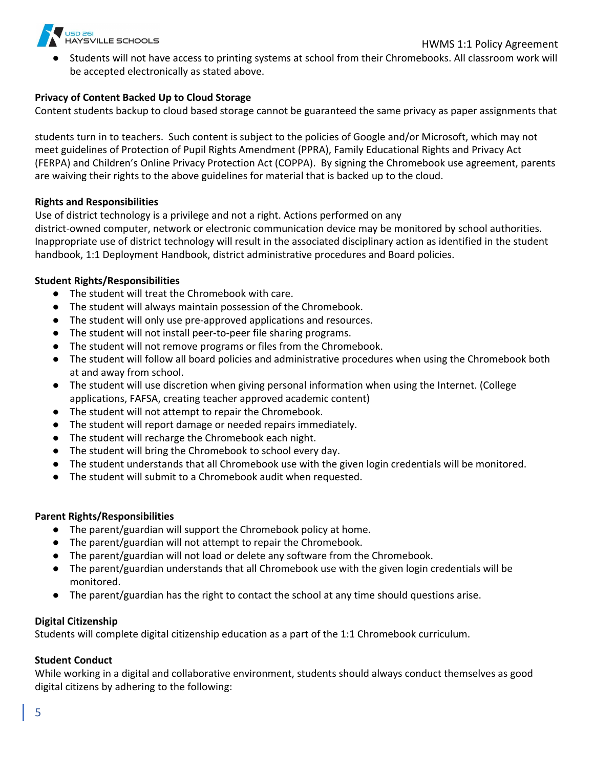

Students will not have access to printing systems at school from their Chromebooks. All classroom work will be accepted electronically as stated above.

#### **Privacy of Content Backed Up to Cloud Storage**

Content students backup to cloud based storage cannot be guaranteed the same privacy as paper assignments that

students turn in to teachers. Such content is subject to the policies of Google and/or Microsoft, which may not meet guidelines of Protection of Pupil Rights Amendment (PPRA), Family Educational Rights and Privacy Act (FERPA) and Children's Online Privacy Protection Act (COPPA). By signing the Chromebook use agreement, parents are waiving their rights to the above guidelines for material that is backed up to the cloud.

#### **Rights and Responsibilities**

Use of district technology is a privilege and not a right. Actions performed on any district-owned computer, network or electronic communication device may be monitored by school authorities. Inappropriate use of district technology will result in the associated disciplinary action as identified in the student handbook, 1:1 Deployment Handbook, district administrative procedures and Board policies.

#### **Student Rights/Responsibilities**

- The student will treat the Chromebook with care.
- The student will always maintain possession of the Chromebook.
- The student will only use pre-approved applications and resources.
- The student will not install peer-to-peer file sharing programs.
- The student will not remove programs or files from the Chromebook.
- The student will follow all board policies and administrative procedures when using the Chromebook both at and away from school.
- The student will use discretion when giving personal information when using the Internet. (College applications, FAFSA, creating teacher approved academic content)
- The student will not attempt to repair the Chromebook.
- The student will report damage or needed repairs immediately.
- The student will recharge the Chromebook each night.
- The student will bring the Chromebook to school every day.
- The student understands that all Chromebook use with the given login credentials will be monitored.
- The student will submit to a Chromebook audit when requested.

#### **Parent Rights/Responsibilities**

- The parent/guardian will support the Chromebook policy at home.
- The parent/guardian will not attempt to repair the Chromebook.
- The parent/guardian will not load or delete any software from the Chromebook.
- The parent/guardian understands that all Chromebook use with the given login credentials will be monitored.
- The parent/guardian has the right to contact the school at any time should questions arise.

#### **Digital Citizenship**

Students will complete digital citizenship education as a part of the 1:1 Chromebook curriculum.

## **Student Conduct**

While working in a digital and collaborative environment, students should always conduct themselves as good digital citizens by adhering to the following: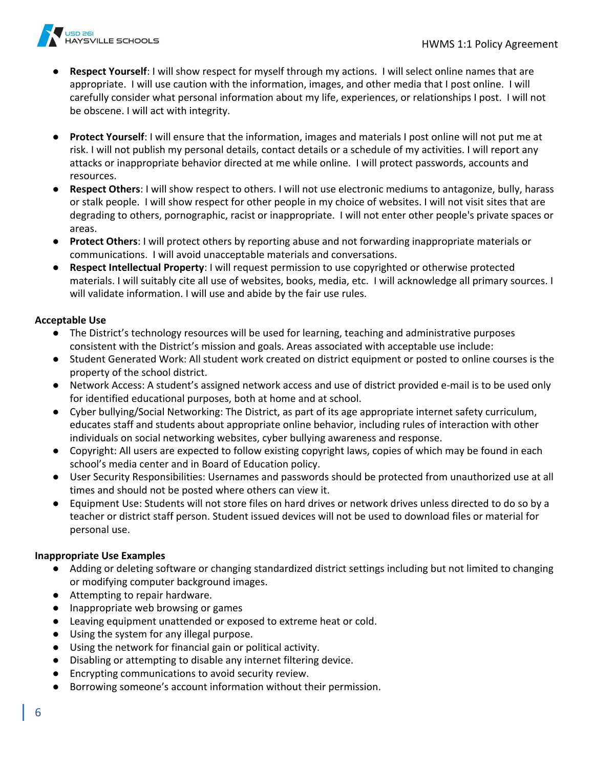

- **Respect Yourself:** I will show respect for myself through my actions. I will select online names that are appropriate. I will use caution with the information, images, and other media that I post online. I will carefully consider what personal information about my life, experiences, or relationships I post. I will not be obscene. I will act with integrity.
- **Protect Yourself**: I will ensure that the information, images and materials I post online will not put me at risk. I will not publish my personal details, contact details or a schedule of my activities. I will report any attacks or inappropriate behavior directed at me while online. I will protect passwords, accounts and resources.
- **Respect Others**: I will show respect to others. I will not use electronic mediums to antagonize, bully, harass or stalk people. I will show respect for other people in my choice of websites. I will not visit sites that are degrading to others, pornographic, racist or inappropriate. I will not enter other people's private spaces or areas.
- **Protect Others**: I will protect others by reporting abuse and not forwarding inappropriate materials or communications. I will avoid unacceptable materials and conversations.
- **Respect Intellectual Property**: I will request permission to use copyrighted or otherwise protected materials. I will suitably cite all use of websites, books, media, etc. I will acknowledge all primary sources. I will validate information. I will use and abide by the fair use rules.

#### **Acceptable Use**

- The District's technology resources will be used for learning, teaching and administrative purposes consistent with the District's mission and goals. Areas associated with acceptable use include:
- Student Generated Work: All student work created on district equipment or posted to online courses is the property of the school district.
- Network Access: A student's assigned network access and use of district provided e-mail is to be used only for identified educational purposes, both at home and at school.
- Cyber bullying/Social Networking: The District, as part of its age appropriate internet safety curriculum, educates staff and students about appropriate online behavior, including rules of interaction with other individuals on social networking websites, cyber bullying awareness and response.
- Copyright: All users are expected to follow existing copyright laws, copies of which may be found in each school's media center and in Board of Education policy.
- User Security Responsibilities: Usernames and passwords should be protected from unauthorized use at all times and should not be posted where others can view it.
- Equipment Use: Students will not store files on hard drives or network drives unless directed to do so by a teacher or district staff person. Student issued devices will not be used to download files or material for personal use.

#### **Inappropriate Use Examples**

- Adding or deleting software or changing standardized district settings including but not limited to changing or modifying computer background images.
- Attempting to repair hardware.
- Inappropriate web browsing or games
- Leaving equipment unattended or exposed to extreme heat or cold.
- Using the system for any illegal purpose.
- Using the network for financial gain or political activity.
- Disabling or attempting to disable any internet filtering device.
- Encrypting communications to avoid security review.
- Borrowing someone's account information without their permission.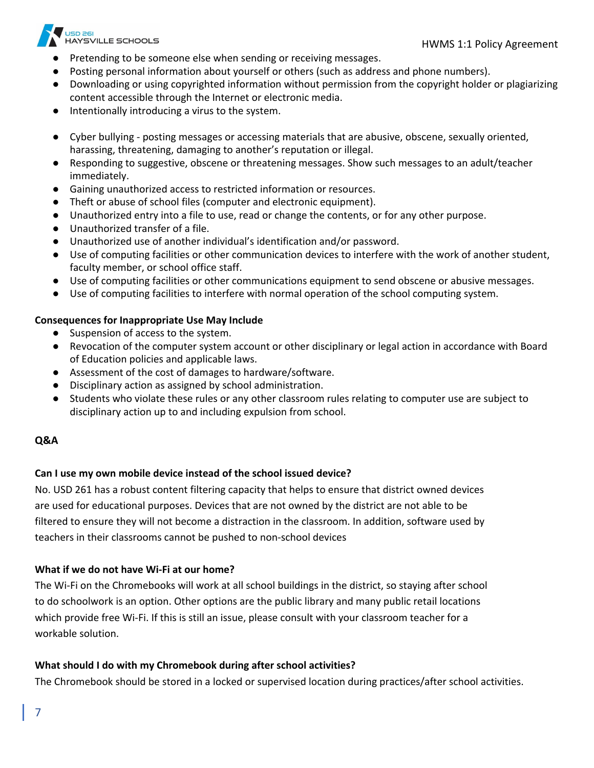

- Pretending to be someone else when sending or receiving messages.
- Posting personal information about yourself or others (such as address and phone numbers).
- Downloading or using copyrighted information without permission from the copyright holder or plagiarizing content accessible through the Internet or electronic media.
- Intentionally introducing a virus to the system.
- Cyber bullying posting messages or accessing materials that are abusive, obscene, sexually oriented, harassing, threatening, damaging to another's reputation or illegal.
- Responding to suggestive, obscene or threatening messages. Show such messages to an adult/teacher immediately.
- Gaining unauthorized access to restricted information or resources.
- Theft or abuse of school files (computer and electronic equipment).
- Unauthorized entry into a file to use, read or change the contents, or for any other purpose.
- Unauthorized transfer of a file.
- Unauthorized use of another individual's identification and/or password.
- Use of computing facilities or other communication devices to interfere with the work of another student, faculty member, or school office staff.
- Use of computing facilities or other communications equipment to send obscene or abusive messages.
- Use of computing facilities to interfere with normal operation of the school computing system.

#### **Consequences for Inappropriate Use May Include**

- Suspension of access to the system.
- Revocation of the computer system account or other disciplinary or legal action in accordance with Board of Education policies and applicable laws.
- Assessment of the cost of damages to hardware/software.
- Disciplinary action as assigned by school administration.
- Students who violate these rules or any other classroom rules relating to computer use are subject to disciplinary action up to and including expulsion from school.

#### **Q&A**

#### **Can I use my own mobile device instead of the school issued device?**

No. USD 261 has a robust content filtering capacity that helps to ensure that district owned devices are used for educational purposes. Devices that are not owned by the district are not able to be filtered to ensure they will not become a distraction in the classroom. In addition, software used by teachers in their classrooms cannot be pushed to non-school devices

#### **What if we do not have Wi-Fi at our home?**

The Wi-Fi on the Chromebooks will work at all school buildings in the district, so staying after school to do schoolwork is an option. Other options are the public library and many public retail locations which provide free Wi-Fi. If this is still an issue, please consult with your classroom teacher for a workable solution.

#### **What should I do with my Chromebook during after school activities?**

The Chromebook should be stored in a locked or supervised location during practices/after school activities.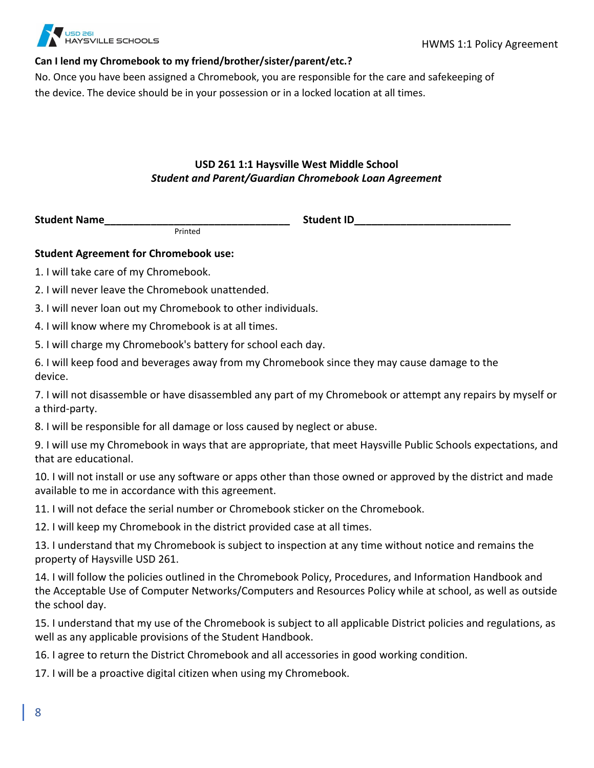

# **Can I lend my Chromebook to my friend/brother/sister/parent/etc.?**

No. Once you have been assigned a Chromebook, you are responsible for the care and safekeeping of the device. The device should be in your possession or in a locked location at all times.

# **USD 261 1:1 Haysville West Middle School** *Student and Parent/Guardian Chromebook Loan Agreement*

**Student Name** 

Printed

# **Student Agreement for Chromebook use:**

1. I will take care of my Chromebook.

2. I will never leave the Chromebook unattended.

3. I will never loan out my Chromebook to other individuals.

4. I will know where my Chromebook is at all times.

5. I will charge my Chromebook's battery for school each day.

6. I will keep food and beverages away from my Chromebook since they may cause damage to the device.

7. I will not disassemble or have disassembled any part of my Chromebook or attempt any repairs by myself or a third-party.

8. I will be responsible for all damage or loss caused by neglect or abuse.

9. I will use my Chromebook in ways that are appropriate, that meet Haysville Public Schools expectations, and that are educational.

10. I will not install or use any software or apps other than those owned or approved by the district and made available to me in accordance with this agreement.

11. I will not deface the serial number or Chromebook sticker on the Chromebook.

12. I will keep my Chromebook in the district provided case at all times.

13. I understand that my Chromebook is subject to inspection at any time without notice and remains the property of Haysville USD 261.

14. I will follow the policies outlined in the Chromebook Policy, Procedures, and Information Handbook and the Acceptable Use of Computer Networks/Computers and Resources Policy while at school, as well as outside the school day.

15. I understand that my use of the Chromebook is subject to all applicable District policies and regulations, as well as any applicable provisions of the Student Handbook.

16. I agree to return the District Chromebook and all accessories in good working condition.

17. I will be a proactive digital citizen when using my Chromebook.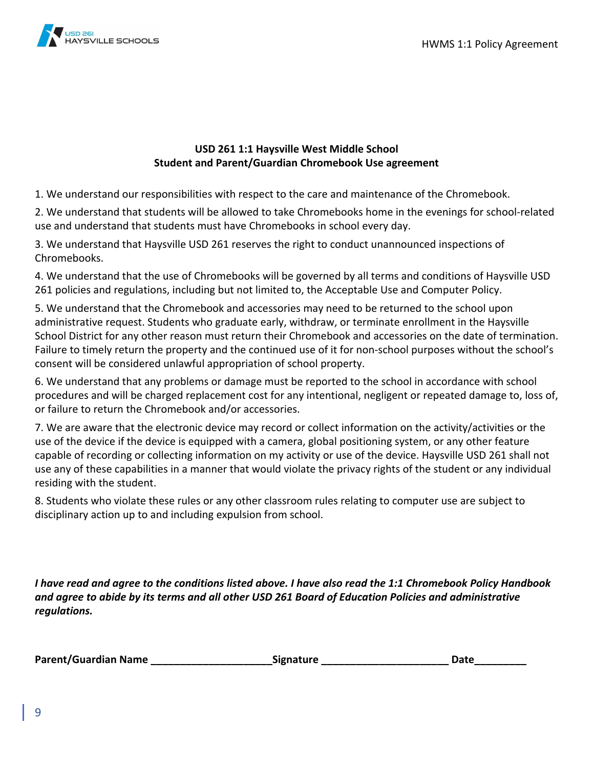

# **USD 261 1:1 Haysville West Middle School Student and Parent/Guardian Chromebook Use agreement**

1. We understand our responsibilities with respect to the care and maintenance of the Chromebook.

2. We understand that students will be allowed to take Chromebooks home in the evenings for school-related use and understand that students must have Chromebooks in school every day.

3. We understand that Haysville USD 261 reserves the right to conduct unannounced inspections of Chromebooks.

4. We understand that the use of Chromebooks will be governed by all terms and conditions of Haysville USD 261 policies and regulations, including but not limited to, the Acceptable Use and Computer Policy.

5. We understand that the Chromebook and accessories may need to be returned to the school upon administrative request. Students who graduate early, withdraw, or terminate enrollment in the Haysville School District for any other reason must return their Chromebook and accessories on the date of termination. Failure to timely return the property and the continued use of it for non-school purposes without the school's consent will be considered unlawful appropriation of school property.

6. We understand that any problems or damage must be reported to the school in accordance with school procedures and will be charged replacement cost for any intentional, negligent or repeated damage to, loss of, or failure to return the Chromebook and/or accessories.

7. We are aware that the electronic device may record or collect information on the activity/activities or the use of the device if the device is equipped with a camera, global positioning system, or any other feature capable of recording or collecting information on my activity or use of the device. Haysville USD 261 shall not use any of these capabilities in a manner that would violate the privacy rights of the student or any individual residing with the student.

8. Students who violate these rules or any other classroom rules relating to computer use are subject to disciplinary action up to and including expulsion from school.

*I have read and agree to the conditions listed above. I have also read the 1:1 Chromebook Policy Handbook and agree to abide by its terms and all other USD 261 Board of Education Policies and administrative regulations.*

| <b>Parent/Guardian Name</b> | <b>Signature</b> | Date |
|-----------------------------|------------------|------|
|-----------------------------|------------------|------|